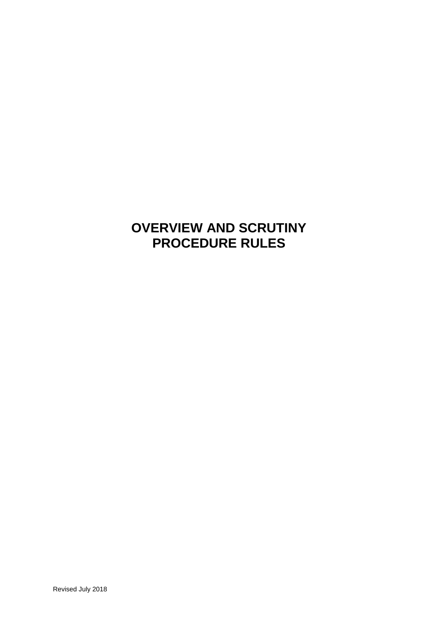# **OVERVIEW AND SCRUTINY PROCEDURE RULES**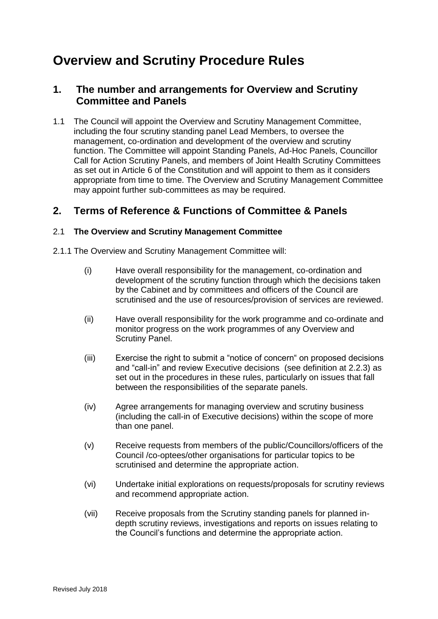# **Overview and Scrutiny Procedure Rules**

# **1. The number and arrangements for Overview and Scrutiny Committee and Panels**

1.1 The Council will appoint the Overview and Scrutiny Management Committee, including the four scrutiny standing panel Lead Members, to oversee the management, co-ordination and development of the overview and scrutiny function. The Committee will appoint Standing Panels, Ad-Hoc Panels, Councillor Call for Action Scrutiny Panels, and members of Joint Health Scrutiny Committees as set out in Article 6 of the Constitution and will appoint to them as it considers appropriate from time to time. The Overview and Scrutiny Management Committee may appoint further sub-committees as may be required.

# **2. Terms of Reference & Functions of Committee & Panels**

#### 2.1 **The Overview and Scrutiny Management Committee**

- 2.1.1 The Overview and Scrutiny Management Committee will:
	- (i) Have overall responsibility for the management, co-ordination and development of the scrutiny function through which the decisions taken by the Cabinet and by committees and officers of the Council are scrutinised and the use of resources/provision of services are reviewed.
	- (ii) Have overall responsibility for the work programme and co-ordinate and monitor progress on the work programmes of any Overview and Scrutiny Panel.
	- (iii) Exercise the right to submit a "notice of concern" on proposed decisions and "call-in" and review Executive decisions (see definition at 2.2.3) as set out in the procedures in these rules, particularly on issues that fall between the responsibilities of the separate panels.
	- (iv) Agree arrangements for managing overview and scrutiny business (including the call-in of Executive decisions) within the scope of more than one panel.
	- (v) Receive requests from members of the public/Councillors/officers of the Council /co-optees/other organisations for particular topics to be scrutinised and determine the appropriate action.
	- (vi) Undertake initial explorations on requests/proposals for scrutiny reviews and recommend appropriate action.
	- (vii) Receive proposals from the Scrutiny standing panels for planned indepth scrutiny reviews, investigations and reports on issues relating to the Council's functions and determine the appropriate action.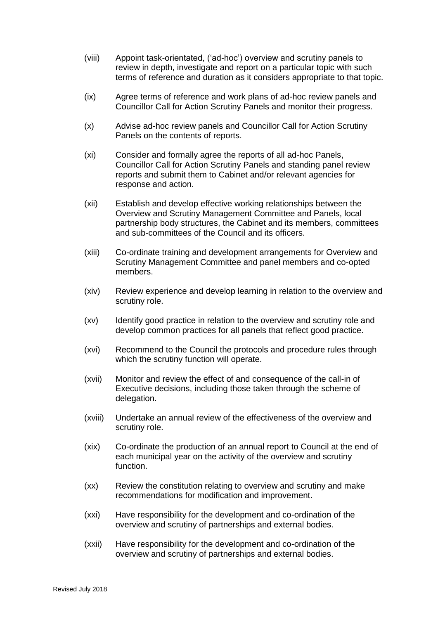- (viii) Appoint task-orientated, ('ad-hoc') overview and scrutiny panels to review in depth, investigate and report on a particular topic with such terms of reference and duration as it considers appropriate to that topic.
- (ix) Agree terms of reference and work plans of ad-hoc review panels and Councillor Call for Action Scrutiny Panels and monitor their progress.
- (x) Advise ad-hoc review panels and Councillor Call for Action Scrutiny Panels on the contents of reports.
- (xi) Consider and formally agree the reports of all ad-hoc Panels, Councillor Call for Action Scrutiny Panels and standing panel review reports and submit them to Cabinet and/or relevant agencies for response and action.
- (xii) Establish and develop effective working relationships between the Overview and Scrutiny Management Committee and Panels, local partnership body structures, the Cabinet and its members, committees and sub-committees of the Council and its officers.
- (xiii) Co-ordinate training and development arrangements for Overview and Scrutiny Management Committee and panel members and co-opted members.
- (xiv) Review experience and develop learning in relation to the overview and scrutiny role.
- (xv) Identify good practice in relation to the overview and scrutiny role and develop common practices for all panels that reflect good practice.
- (xvi) Recommend to the Council the protocols and procedure rules through which the scrutiny function will operate.
- (xvii) Monitor and review the effect of and consequence of the call-in of Executive decisions, including those taken through the scheme of delegation.
- (xviii) Undertake an annual review of the effectiveness of the overview and scrutiny role.
- (xix) Co-ordinate the production of an annual report to Council at the end of each municipal year on the activity of the overview and scrutiny function.
- (xx) Review the constitution relating to overview and scrutiny and make recommendations for modification and improvement.
- (xxi) Have responsibility for the development and co-ordination of the overview and scrutiny of partnerships and external bodies.
- (xxii) Have responsibility for the development and co-ordination of the overview and scrutiny of partnerships and external bodies.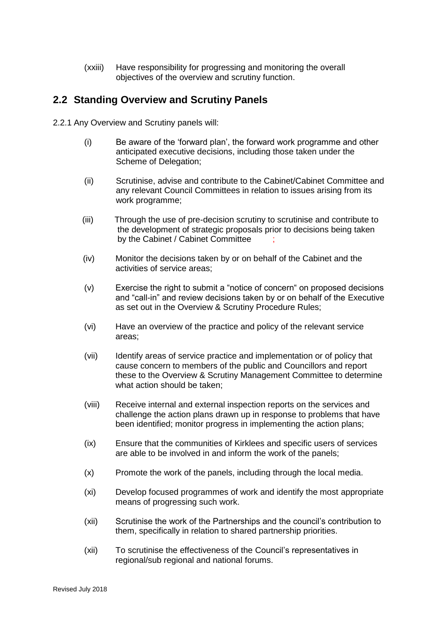(xxiii) Have responsibility for progressing and monitoring the overall objectives of the overview and scrutiny function.

# **2.2 Standing Overview and Scrutiny Panels**

2.2.1 Any Overview and Scrutiny panels will:

- (i) Be aware of the 'forward plan', the forward work programme and other anticipated executive decisions, including those taken under the Scheme of Delegation;
- (ii) Scrutinise, advise and contribute to the Cabinet/Cabinet Committee and any relevant Council Committees in relation to issues arising from its work programme;
- (iii) Through the use of pre-decision scrutiny to scrutinise and contribute to the development of strategic proposals prior to decisions being taken by the Cabinet / Cabinet Committee
- (iv) Monitor the decisions taken by or on behalf of the Cabinet and the activities of service areas;
- (v) Exercise the right to submit a "notice of concern" on proposed decisions and "call-in" and review decisions taken by or on behalf of the Executive as set out in the Overview & Scrutiny Procedure Rules;
- (vi) Have an overview of the practice and policy of the relevant service areas;
- (vii) Identify areas of service practice and implementation or of policy that cause concern to members of the public and Councillors and report these to the Overview & Scrutiny Management Committee to determine what action should be taken;
- (viii) Receive internal and external inspection reports on the services and challenge the action plans drawn up in response to problems that have been identified; monitor progress in implementing the action plans;
- (ix) Ensure that the communities of Kirklees and specific users of services are able to be involved in and inform the work of the panels;
- (x) Promote the work of the panels, including through the local media.
- (xi) Develop focused programmes of work and identify the most appropriate means of progressing such work.
- (xii) Scrutinise the work of the Partnerships and the council's contribution to them, specifically in relation to shared partnership priorities.
- (xii) To scrutinise the effectiveness of the Council's representatives in regional/sub regional and national forums.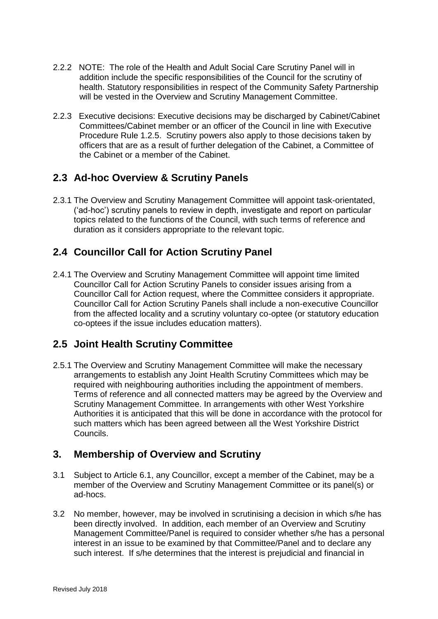- 2.2.2 NOTE: The role of the Health and Adult Social Care Scrutiny Panel will in addition include the specific responsibilities of the Council for the scrutiny of health. Statutory responsibilities in respect of the Community Safety Partnership will be vested in the Overview and Scrutiny Management Committee.
- 2.2.3 Executive decisions: Executive decisions may be discharged by Cabinet/Cabinet Committees/Cabinet member or an officer of the Council in line with Executive Procedure Rule 1.2.5. Scrutiny powers also apply to those decisions taken by officers that are as a result of further delegation of the Cabinet, a Committee of the Cabinet or a member of the Cabinet.

# **2.3 Ad-hoc Overview & Scrutiny Panels**

2.3.1 The Overview and Scrutiny Management Committee will appoint task-orientated, ('ad-hoc') scrutiny panels to review in depth, investigate and report on particular topics related to the functions of the Council, with such terms of reference and duration as it considers appropriate to the relevant topic.

# **2.4 Councillor Call for Action Scrutiny Panel**

2.4.1 The Overview and Scrutiny Management Committee will appoint time limited Councillor Call for Action Scrutiny Panels to consider issues arising from a Councillor Call for Action request, where the Committee considers it appropriate. Councillor Call for Action Scrutiny Panels shall include a non-executive Councillor from the affected locality and a scrutiny voluntary co-optee (or statutory education co-optees if the issue includes education matters).

# **2.5 Joint Health Scrutiny Committee**

2.5.1 The Overview and Scrutiny Management Committee will make the necessary arrangements to establish any Joint Health Scrutiny Committees which may be required with neighbouring authorities including the appointment of members. Terms of reference and all connected matters may be agreed by the Overview and Scrutiny Management Committee. In arrangements with other West Yorkshire Authorities it is anticipated that this will be done in accordance with the protocol for such matters which has been agreed between all the West Yorkshire District Councils.

# **3. Membership of Overview and Scrutiny**

- 3.1 Subject to Article 6.1, any Councillor, except a member of the Cabinet, may be a member of the Overview and Scrutiny Management Committee or its panel(s) or ad-hocs.
- 3.2 No member, however, may be involved in scrutinising a decision in which s/he has been directly involved. In addition, each member of an Overview and Scrutiny Management Committee/Panel is required to consider whether s/he has a personal interest in an issue to be examined by that Committee/Panel and to declare any such interest. If s/he determines that the interest is prejudicial and financial in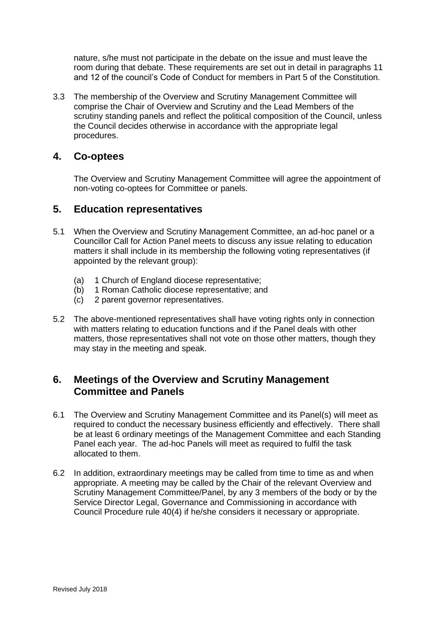nature, s/he must not participate in the debate on the issue and must leave the room during that debate. These requirements are set out in detail in paragraphs 11 and 12 of the council's Code of Conduct for members in Part 5 of the Constitution.

3.3 The membership of the Overview and Scrutiny Management Committee will comprise the Chair of Overview and Scrutiny and the Lead Members of the scrutiny standing panels and reflect the political composition of the Council, unless the Council decides otherwise in accordance with the appropriate legal procedures.

## **4. Co-optees**

The Overview and Scrutiny Management Committee will agree the appointment of non-voting co-optees for Committee or panels.

## **5. Education representatives**

- 5.1 When the Overview and Scrutiny Management Committee, an ad-hoc panel or a Councillor Call for Action Panel meets to discuss any issue relating to education matters it shall include in its membership the following voting representatives (if appointed by the relevant group):
	- (a) 1 Church of England diocese representative;
	- (b) 1 Roman Catholic diocese representative; and
	- (c) 2 parent governor representatives.
- 5.2 The above-mentioned representatives shall have voting rights only in connection with matters relating to education functions and if the Panel deals with other matters, those representatives shall not vote on those other matters, though they may stay in the meeting and speak.

# **6. Meetings of the Overview and Scrutiny Management Committee and Panels**

- 6.1 The Overview and Scrutiny Management Committee and its Panel(s) will meet as required to conduct the necessary business efficiently and effectively. There shall be at least 6 ordinary meetings of the Management Committee and each Standing Panel each year. The ad-hoc Panels will meet as required to fulfil the task allocated to them.
- 6.2 In addition, extraordinary meetings may be called from time to time as and when appropriate. A meeting may be called by the Chair of the relevant Overview and Scrutiny Management Committee/Panel, by any 3 members of the body or by the Service Director Legal, Governance and Commissioning in accordance with Council Procedure rule 40(4) if he/she considers it necessary or appropriate.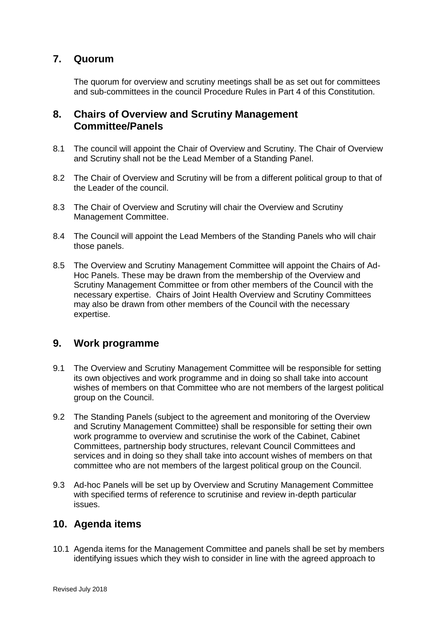# **7. Quorum**

The quorum for overview and scrutiny meetings shall be as set out for committees and sub-committees in the council Procedure Rules in Part 4 of this Constitution.

# **8. Chairs of Overview and Scrutiny Management Committee/Panels**

- 8.1 The council will appoint the Chair of Overview and Scrutiny. The Chair of Overview and Scrutiny shall not be the Lead Member of a Standing Panel.
- 8.2 The Chair of Overview and Scrutiny will be from a different political group to that of the Leader of the council.
- 8.3 The Chair of Overview and Scrutiny will chair the Overview and Scrutiny Management Committee.
- 8.4 The Council will appoint the Lead Members of the Standing Panels who will chair those panels.
- 8.5 The Overview and Scrutiny Management Committee will appoint the Chairs of Ad-Hoc Panels. These may be drawn from the membership of the Overview and Scrutiny Management Committee or from other members of the Council with the necessary expertise. Chairs of Joint Health Overview and Scrutiny Committees may also be drawn from other members of the Council with the necessary expertise.

#### **9. Work programme**

- 9.1 The Overview and Scrutiny Management Committee will be responsible for setting its own objectives and work programme and in doing so shall take into account wishes of members on that Committee who are not members of the largest political group on the Council.
- 9.2 The Standing Panels (subject to the agreement and monitoring of the Overview and Scrutiny Management Committee) shall be responsible for setting their own work programme to overview and scrutinise the work of the Cabinet, Cabinet Committees, partnership body structures, relevant Council Committees and services and in doing so they shall take into account wishes of members on that committee who are not members of the largest political group on the Council.
- 9.3 Ad-hoc Panels will be set up by Overview and Scrutiny Management Committee with specified terms of reference to scrutinise and review in-depth particular issues.

#### **10. Agenda items**

10.1 Agenda items for the Management Committee and panels shall be set by members identifying issues which they wish to consider in line with the agreed approach to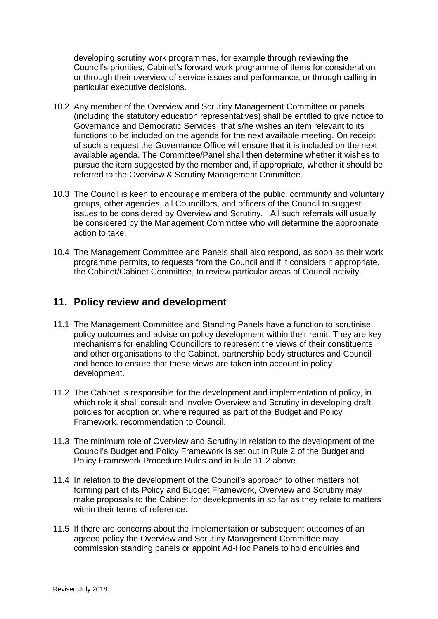developing scrutiny work programmes, for example through reviewing the Council's priorities, Cabinet's forward work programme of items for consideration or through their overview of service issues and performance, or through calling in particular executive decisions.

- 10.2 Any member of the Overview and Scrutiny Management Committee or panels (including the statutory education representatives) shall be entitled to give notice to Governance and Democratic Services that s/he wishes an item relevant to its functions to be included on the agenda for the next available meeting. On receipt of such a request the Governance Office will ensure that it is included on the next available agenda. The Committee/Panel shall then determine whether it wishes to pursue the item suggested by the member and, if appropriate, whether it should be referred to the Overview & Scrutiny Management Committee.
- 10.3 The Council is keen to encourage members of the public, community and voluntary groups, other agencies, all Councillors, and officers of the Council to suggest issues to be considered by Overview and Scrutiny. All such referrals will usually be considered by the Management Committee who will determine the appropriate action to take.
- 10.4 The Management Committee and Panels shall also respond, as soon as their work programme permits, to requests from the Council and if it considers it appropriate, the Cabinet/Cabinet Committee, to review particular areas of Council activity.

# **11. Policy review and development**

- 11.1 The Management Committee and Standing Panels have a function to scrutinise policy outcomes and advise on policy development within their remit. They are key mechanisms for enabling Councillors to represent the views of their constituents and other organisations to the Cabinet, partnership body structures and Council and hence to ensure that these views are taken into account in policy development.
- 11.2 The Cabinet is responsible for the development and implementation of policy, in which role it shall consult and involve Overview and Scrutiny in developing draft policies for adoption or, where required as part of the Budget and Policy Framework, recommendation to Council.
- 11.3 The minimum role of Overview and Scrutiny in relation to the development of the Council's Budget and Policy Framework is set out in Rule 2 of the Budget and Policy Framework Procedure Rules and in Rule 11.2 above.
- 11.4 In relation to the development of the Council's approach to other matters not forming part of its Policy and Budget Framework, Overview and Scrutiny may make proposals to the Cabinet for developments in so far as they relate to matters within their terms of reference.
- 11.5 If there are concerns about the implementation or subsequent outcomes of an agreed policy the Overview and Scrutiny Management Committee may commission standing panels or appoint Ad-Hoc Panels to hold enquiries and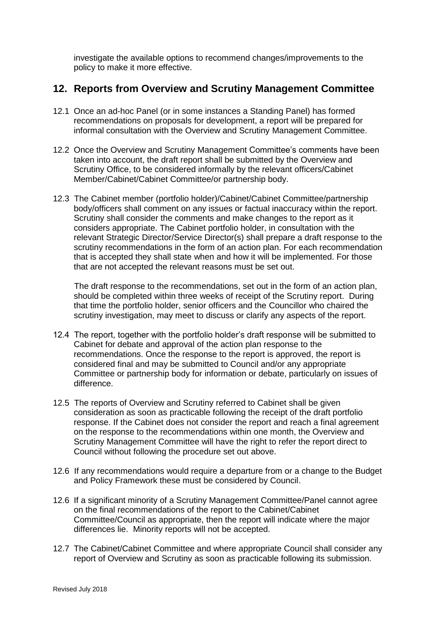investigate the available options to recommend changes/improvements to the policy to make it more effective.

## **12. Reports from Overview and Scrutiny Management Committee**

- 12.1 Once an ad-hoc Panel (or in some instances a Standing Panel) has formed recommendations on proposals for development, a report will be prepared for informal consultation with the Overview and Scrutiny Management Committee.
- 12.2 Once the Overview and Scrutiny Management Committee's comments have been taken into account, the draft report shall be submitted by the Overview and Scrutiny Office, to be considered informally by the relevant officers/Cabinet Member/Cabinet/Cabinet Committee/or partnership body.
- 12.3 The Cabinet member (portfolio holder)/Cabinet/Cabinet Committee/partnership body/officers shall comment on any issues or factual inaccuracy within the report. Scrutiny shall consider the comments and make changes to the report as it considers appropriate. The Cabinet portfolio holder, in consultation with the relevant Strategic Director/Service Director(s) shall prepare a draft response to the scrutiny recommendations in the form of an action plan. For each recommendation that is accepted they shall state when and how it will be implemented. For those that are not accepted the relevant reasons must be set out.

 The draft response to the recommendations, set out in the form of an action plan, should be completed within three weeks of receipt of the Scrutiny report. During that time the portfolio holder, senior officers and the Councillor who chaired the scrutiny investigation, may meet to discuss or clarify any aspects of the report.

- 12.4 The report, together with the portfolio holder's draft response will be submitted to Cabinet for debate and approval of the action plan response to the recommendations. Once the response to the report is approved, the report is considered final and may be submitted to Council and/or any appropriate Committee or partnership body for information or debate, particularly on issues of difference.
- 12.5 The reports of Overview and Scrutiny referred to Cabinet shall be given consideration as soon as practicable following the receipt of the draft portfolio response. If the Cabinet does not consider the report and reach a final agreement on the response to the recommendations within one month, the Overview and Scrutiny Management Committee will have the right to refer the report direct to Council without following the procedure set out above.
- 12.6 If any recommendations would require a departure from or a change to the Budget and Policy Framework these must be considered by Council.
- 12.6 If a significant minority of a Scrutiny Management Committee/Panel cannot agree on the final recommendations of the report to the Cabinet/Cabinet Committee/Council as appropriate, then the report will indicate where the major differences lie. Minority reports will not be accepted.
- 12.7 The Cabinet/Cabinet Committee and where appropriate Council shall consider any report of Overview and Scrutiny as soon as practicable following its submission.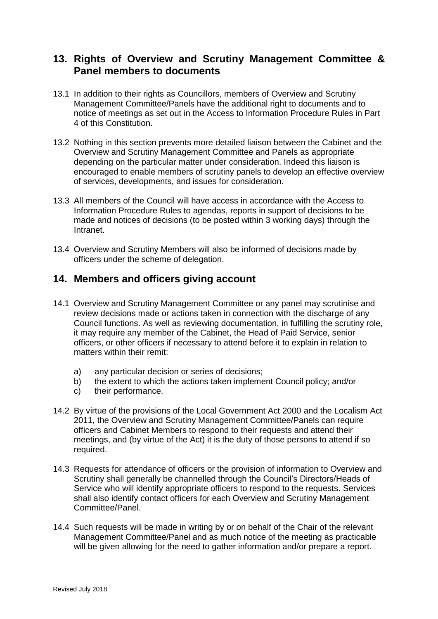# **13. Rights of Overview and Scrutiny Management Committee & Panel members to documents**

- 13.1 In addition to their rights as Councillors, members of Overview and Scrutiny Management Committee/Panels have the additional right to documents and to notice of meetings as set out in the Access to Information Procedure Rules in Part 4 of this Constitution.
- 13.2 Nothing in this section prevents more detailed liaison between the Cabinet and the Overview and Scrutiny Management Committee and Panels as appropriate depending on the particular matter under consideration. Indeed this liaison is encouraged to enable members of scrutiny panels to develop an effective overview of services, developments, and issues for consideration.
- 13.3 All members of the Council will have access in accordance with the Access to Information Procedure Rules to agendas, reports in support of decisions to be made and notices of decisions (to be posted within 3 working days) through the Intranet.
- 13.4 Overview and Scrutiny Members will also be informed of decisions made by officers under the scheme of delegation.

# **14. Members and officers giving account**

- 14.1 Overview and Scrutiny Management Committee or any panel may scrutinise and review decisions made or actions taken in connection with the discharge of any Council functions. As well as reviewing documentation, in fulfilling the scrutiny role, it may require any member of the Cabinet, the Head of Paid Service, senior officers, or other officers if necessary to attend before it to explain in relation to matters within their remit:
	- a) any particular decision or series of decisions;
	- b) the extent to which the actions taken implement Council policy; and/or
	- c) their performance.
- 14.2 By virtue of the provisions of the Local Government Act 2000 and the Localism Act 2011, the Overview and Scrutiny Management Committee/Panels can require officers and Cabinet Members to respond to their requests and attend their meetings, and (by virtue of the Act) it is the duty of those persons to attend if so required.
- 14.3 Requests for attendance of officers or the provision of information to Overview and Scrutiny shall generally be channelled through the Council's Directors/Heads of Service who will identify appropriate officers to respond to the requests. Services shall also identify contact officers for each Overview and Scrutiny Management Committee/Panel.
- 14.4 Such requests will be made in writing by or on behalf of the Chair of the relevant Management Committee/Panel and as much notice of the meeting as practicable will be given allowing for the need to gather information and/or prepare a report.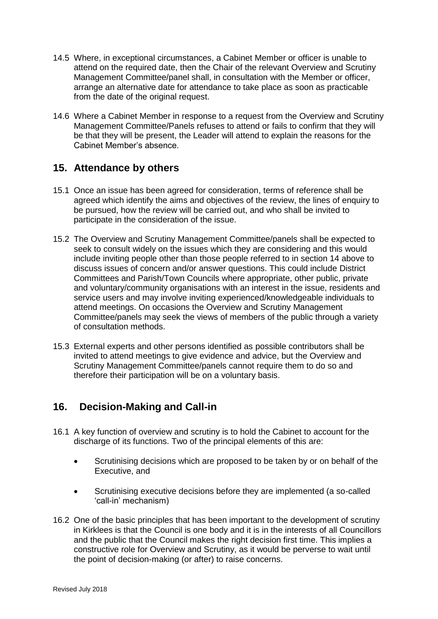- 14.5 Where, in exceptional circumstances, a Cabinet Member or officer is unable to attend on the required date, then the Chair of the relevant Overview and Scrutiny Management Committee/panel shall, in consultation with the Member or officer, arrange an alternative date for attendance to take place as soon as practicable from the date of the original request.
- 14.6 Where a Cabinet Member in response to a request from the Overview and Scrutiny Management Committee/Panels refuses to attend or fails to confirm that they will be that they will be present, the Leader will attend to explain the reasons for the Cabinet Member's absence.

# **15. Attendance by others**

- 15.1 Once an issue has been agreed for consideration, terms of reference shall be agreed which identify the aims and objectives of the review, the lines of enquiry to be pursued, how the review will be carried out, and who shall be invited to participate in the consideration of the issue.
- 15.2 The Overview and Scrutiny Management Committee/panels shall be expected to seek to consult widely on the issues which they are considering and this would include inviting people other than those people referred to in section 14 above to discuss issues of concern and/or answer questions. This could include District Committees and Parish/Town Councils where appropriate, other public, private and voluntary/community organisations with an interest in the issue, residents and service users and may involve inviting experienced/knowledgeable individuals to attend meetings. On occasions the Overview and Scrutiny Management Committee/panels may seek the views of members of the public through a variety of consultation methods.
- 15.3 External experts and other persons identified as possible contributors shall be invited to attend meetings to give evidence and advice, but the Overview and Scrutiny Management Committee/panels cannot require them to do so and therefore their participation will be on a voluntary basis.

# **16. Decision-Making and Call-in**

- 16.1 A key function of overview and scrutiny is to hold the Cabinet to account for the discharge of its functions. Two of the principal elements of this are:
	- Scrutinising decisions which are proposed to be taken by or on behalf of the Executive, and
	- Scrutinising executive decisions before they are implemented (a so-called 'call-in' mechanism)
- 16.2 One of the basic principles that has been important to the development of scrutiny in Kirklees is that the Council is one body and it is in the interests of all Councillors and the public that the Council makes the right decision first time. This implies a constructive role for Overview and Scrutiny, as it would be perverse to wait until the point of decision-making (or after) to raise concerns.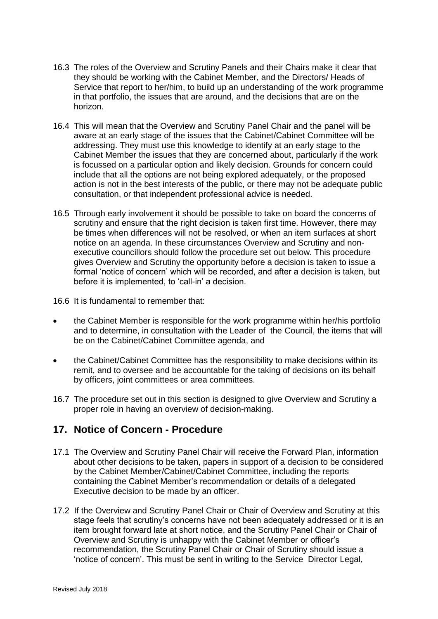- 16.3 The roles of the Overview and Scrutiny Panels and their Chairs make it clear that they should be working with the Cabinet Member, and the Directors/ Heads of Service that report to her/him, to build up an understanding of the work programme in that portfolio, the issues that are around, and the decisions that are on the horizon.
- 16.4 This will mean that the Overview and Scrutiny Panel Chair and the panel will be aware at an early stage of the issues that the Cabinet/Cabinet Committee will be addressing. They must use this knowledge to identify at an early stage to the Cabinet Member the issues that they are concerned about, particularly if the work is focussed on a particular option and likely decision. Grounds for concern could include that all the options are not being explored adequately, or the proposed action is not in the best interests of the public, or there may not be adequate public consultation, or that independent professional advice is needed.
- 16.5 Through early involvement it should be possible to take on board the concerns of scrutiny and ensure that the right decision is taken first time. However, there may be times when differences will not be resolved, or when an item surfaces at short notice on an agenda. In these circumstances Overview and Scrutiny and nonexecutive councillors should follow the procedure set out below. This procedure gives Overview and Scrutiny the opportunity before a decision is taken to issue a formal 'notice of concern' which will be recorded, and after a decision is taken, but before it is implemented, to 'call-in' a decision.

16.6 It is fundamental to remember that:

- the Cabinet Member is responsible for the work programme within her/his portfolio and to determine, in consultation with the Leader of the Council, the items that will be on the Cabinet/Cabinet Committee agenda, and
- the Cabinet/Cabinet Committee has the responsibility to make decisions within its remit, and to oversee and be accountable for the taking of decisions on its behalf by officers, joint committees or area committees.
- 16.7 The procedure set out in this section is designed to give Overview and Scrutiny a proper role in having an overview of decision-making.

# **17. Notice of Concern - Procedure**

- 17.1 The Overview and Scrutiny Panel Chair will receive the Forward Plan, information about other decisions to be taken, papers in support of a decision to be considered by the Cabinet Member/Cabinet/Cabinet Committee, including the reports containing the Cabinet Member's recommendation or details of a delegated Executive decision to be made by an officer.
- 17.2 If the Overview and Scrutiny Panel Chair or Chair of Overview and Scrutiny at this stage feels that scrutiny's concerns have not been adequately addressed or it is an item brought forward late at short notice, and the Scrutiny Panel Chair or Chair of Overview and Scrutiny is unhappy with the Cabinet Member or officer's recommendation, the Scrutiny Panel Chair or Chair of Scrutiny should issue a 'notice of concern'. This must be sent in writing to the Service Director Legal,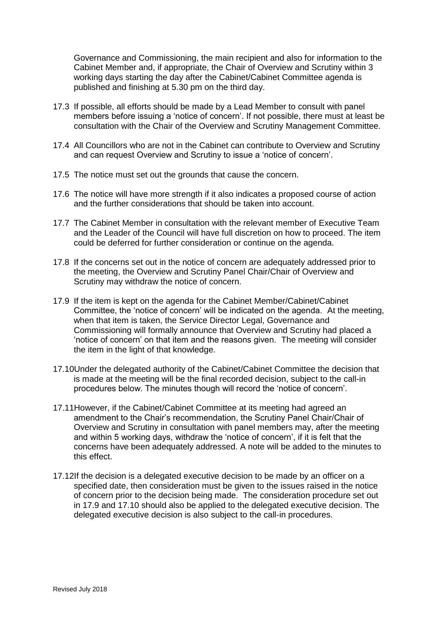Governance and Commissioning, the main recipient and also for information to the Cabinet Member and, if appropriate, the Chair of Overview and Scrutiny within 3 working days starting the day after the Cabinet/Cabinet Committee agenda is published and finishing at 5.30 pm on the third day.

- 17.3 If possible, all efforts should be made by a Lead Member to consult with panel members before issuing a 'notice of concern'. If not possible, there must at least be consultation with the Chair of the Overview and Scrutiny Management Committee.
- 17.4 All Councillors who are not in the Cabinet can contribute to Overview and Scrutiny and can request Overview and Scrutiny to issue a 'notice of concern'.
- 17.5 The notice must set out the grounds that cause the concern.
- 17.6 The notice will have more strength if it also indicates a proposed course of action and the further considerations that should be taken into account.
- 17.7 The Cabinet Member in consultation with the relevant member of Executive Team and the Leader of the Council will have full discretion on how to proceed. The item could be deferred for further consideration or continue on the agenda.
- 17.8 If the concerns set out in the notice of concern are adequately addressed prior to the meeting, the Overview and Scrutiny Panel Chair/Chair of Overview and Scrutiny may withdraw the notice of concern.
- 17.9 If the item is kept on the agenda for the Cabinet Member/Cabinet/Cabinet Committee, the 'notice of concern' will be indicated on the agenda. At the meeting, when that item is taken, the Service Director Legal, Governance and Commissioning will formally announce that Overview and Scrutiny had placed a 'notice of concern' on that item and the reasons given. The meeting will consider the item in the light of that knowledge.
- 17.10Under the delegated authority of the Cabinet/Cabinet Committee the decision that is made at the meeting will be the final recorded decision, subject to the call-in procedures below. The minutes though will record the 'notice of concern'.
- 17.11However, if the Cabinet/Cabinet Committee at its meeting had agreed an amendment to the Chair's recommendation, the Scrutiny Panel Chair/Chair of Overview and Scrutiny in consultation with panel members may, after the meeting and within 5 working days, withdraw the 'notice of concern', if it is felt that the concerns have been adequately addressed. A note will be added to the minutes to this effect.
- 17.12If the decision is a delegated executive decision to be made by an officer on a specified date, then consideration must be given to the issues raised in the notice of concern prior to the decision being made. The consideration procedure set out in 17.9 and 17.10 should also be applied to the delegated executive decision. The delegated executive decision is also subject to the call-in procedures.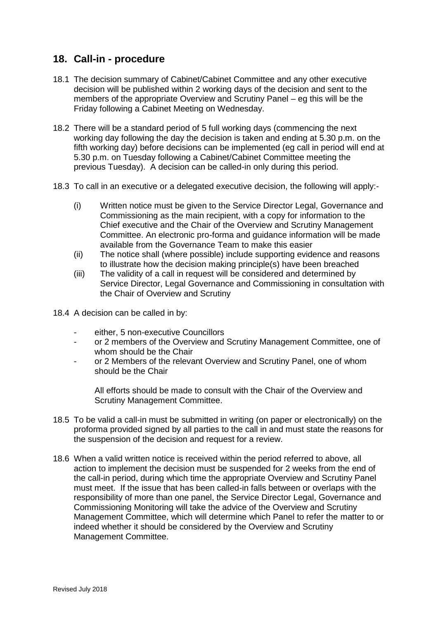# **18. Call-in - procedure**

- 18.1 The decision summary of Cabinet/Cabinet Committee and any other executive decision will be published within 2 working days of the decision and sent to the members of the appropriate Overview and Scrutiny Panel – eg this will be the Friday following a Cabinet Meeting on Wednesday.
- 18.2 There will be a standard period of 5 full working days (commencing the next working day following the day the decision is taken and ending at 5.30 p.m. on the fifth working day) before decisions can be implemented (eg call in period will end at 5.30 p.m. on Tuesday following a Cabinet/Cabinet Committee meeting the previous Tuesday). A decision can be called-in only during this period.
- 18.3 To call in an executive or a delegated executive decision, the following will apply:-
	- (i) Written notice must be given to the Service Director Legal, Governance and Commissioning as the main recipient, with a copy for information to the Chief executive and the Chair of the Overview and Scrutiny Management Committee. An electronic pro-forma and guidance information will be made available from the Governance Team to make this easier
	- (ii) The notice shall (where possible) include supporting evidence and reasons to illustrate how the decision making principle(s) have been breached
	- (iii) The validity of a call in request will be considered and determined by Service Director, Legal Governance and Commissioning in consultation with the Chair of Overview and Scrutiny
- 18.4 A decision can be called in by:
	- either, 5 non-executive Councillors
	- or 2 members of the Overview and Scrutiny Management Committee, one of whom should be the Chair
	- or 2 Members of the relevant Overview and Scrutiny Panel, one of whom should be the Chair

All efforts should be made to consult with the Chair of the Overview and Scrutiny Management Committee.

- 18.5 To be valid a call-in must be submitted in writing (on paper or electronically) on the proforma provided signed by all parties to the call in and must state the reasons for the suspension of the decision and request for a review.
- 18.6 When a valid written notice is received within the period referred to above, all action to implement the decision must be suspended for 2 weeks from the end of the call-in period, during which time the appropriate Overview and Scrutiny Panel must meet. If the issue that has been called-in falls between or overlaps with the responsibility of more than one panel, the Service Director Legal, Governance and Commissioning Monitoring will take the advice of the Overview and Scrutiny Management Committee, which will determine which Panel to refer the matter to or indeed whether it should be considered by the Overview and Scrutiny Management Committee.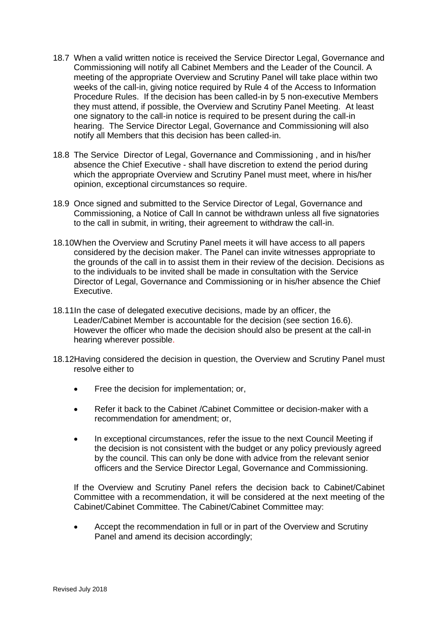- 18.7 When a valid written notice is received the Service Director Legal, Governance and Commissioning will notify all Cabinet Members and the Leader of the Council. A meeting of the appropriate Overview and Scrutiny Panel will take place within two weeks of the call-in, giving notice required by Rule 4 of the Access to Information Procedure Rules. If the decision has been called-in by 5 non-executive Members they must attend, if possible, the Overview and Scrutiny Panel Meeting. At least one signatory to the call-in notice is required to be present during the call-in hearing. The Service Director Legal, Governance and Commissioning will also notify all Members that this decision has been called-in.
- 18.8 The Service Director of Legal, Governance and Commissioning , and in his/her absence the Chief Executive - shall have discretion to extend the period during which the appropriate Overview and Scrutiny Panel must meet, where in his/her opinion, exceptional circumstances so require.
- 18.9 Once signed and submitted to the Service Director of Legal, Governance and Commissioning, a Notice of Call In cannot be withdrawn unless all five signatories to the call in submit, in writing, their agreement to withdraw the call-in.
- 18.10When the Overview and Scrutiny Panel meets it will have access to all papers considered by the decision maker. The Panel can invite witnesses appropriate to the grounds of the call in to assist them in their review of the decision. Decisions as to the individuals to be invited shall be made in consultation with the Service Director of Legal, Governance and Commissioning or in his/her absence the Chief Executive.
- 18.11In the case of delegated executive decisions, made by an officer, the Leader/Cabinet Member is accountable for the decision (see section 16.6). However the officer who made the decision should also be present at the call-in hearing wherever possible.
- 18.12Having considered the decision in question, the Overview and Scrutiny Panel must resolve either to
	- Free the decision for implementation; or,
	- Refer it back to the Cabinet /Cabinet Committee or decision-maker with a recommendation for amendment; or,
	- In exceptional circumstances, refer the issue to the next Council Meeting if the decision is not consistent with the budget or any policy previously agreed by the council. This can only be done with advice from the relevant senior officers and the Service Director Legal, Governance and Commissioning.

If the Overview and Scrutiny Panel refers the decision back to Cabinet/Cabinet Committee with a recommendation, it will be considered at the next meeting of the Cabinet/Cabinet Committee. The Cabinet/Cabinet Committee may:

 Accept the recommendation in full or in part of the Overview and Scrutiny Panel and amend its decision accordingly;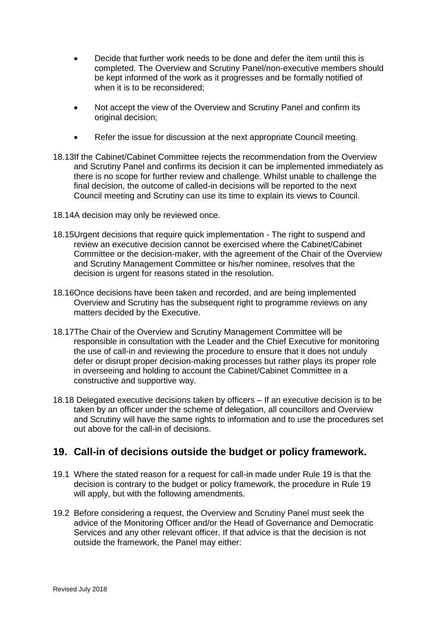- Decide that further work needs to be done and defer the item until this is completed. The Overview and Scrutiny Panel/non-executive members should be kept informed of the work as it progresses and be formally notified of when it is to be reconsidered:
- Not accept the view of the Overview and Scrutiny Panel and confirm its original decision;
- Refer the issue for discussion at the next appropriate Council meeting.
- 18.13If the Cabinet/Cabinet Committee rejects the recommendation from the Overview and Scrutiny Panel and confirms its decision it can be implemented immediately as there is no scope for further review and challenge. Whilst unable to challenge the final decision, the outcome of called-in decisions will be reported to the next Council meeting and Scrutiny can use its time to explain its views to Council.
- 18.14A decision may only be reviewed once.
- 18.15Urgent decisions that require quick implementation The right to suspend and review an executive decision cannot be exercised where the Cabinet/Cabinet Committee or the decision-maker, with the agreement of the Chair of the Overview and Scrutiny Management Committee or his/her nominee, resolves that the decision is urgent for reasons stated in the resolution.
- 18.16Once decisions have been taken and recorded, and are being implemented Overview and Scrutiny has the subsequent right to programme reviews on any matters decided by the Executive.
- 18.17The Chair of the Overview and Scrutiny Management Committee will be responsible in consultation with the Leader and the Chief Executive for monitoring the use of call-in and reviewing the procedure to ensure that it does not unduly defer or disrupt proper decision-making processes but rather plays its proper role in overseeing and holding to account the Cabinet/Cabinet Committee in a constructive and supportive way.
- 18.18 Delegated executive decisions taken by officers If an executive decision is to be taken by an officer under the scheme of delegation, all councillors and Overview and Scrutiny will have the same rights to information and to use the procedures set out above for the call-in of decisions.

# **19. Call-in of decisions outside the budget or policy framework.**

- 19.1 Where the stated reason for a request for call-in made under Rule 19 is that the decision is contrary to the budget or policy framework, the procedure in Rule 19 will apply, but with the following amendments.
- 19.2 Before considering a request, the Overview and Scrutiny Panel must seek the advice of the Monitoring Officer and/or the Head of Governance and Democratic Services and any other relevant officer. If that advice is that the decision is not outside the framework, the Panel may either: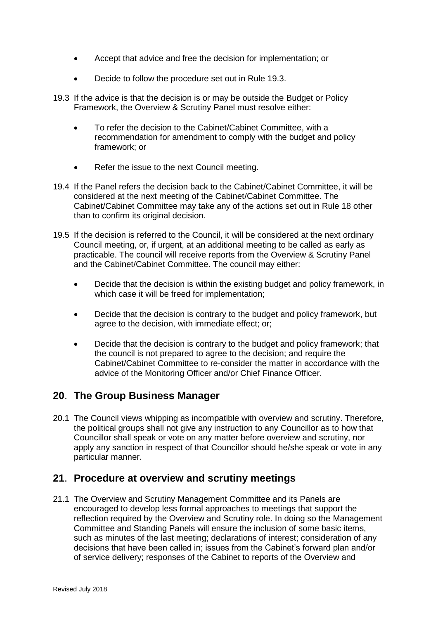- Accept that advice and free the decision for implementation; or
- Decide to follow the procedure set out in Rule 19.3.
- 19.3 If the advice is that the decision is or may be outside the Budget or Policy Framework, the Overview & Scrutiny Panel must resolve either:
	- To refer the decision to the Cabinet/Cabinet Committee, with a recommendation for amendment to comply with the budget and policy framework; or
	- Refer the issue to the next Council meeting.
- 19.4 If the Panel refers the decision back to the Cabinet/Cabinet Committee, it will be considered at the next meeting of the Cabinet/Cabinet Committee. The Cabinet/Cabinet Committee may take any of the actions set out in Rule 18 other than to confirm its original decision.
- 19.5 If the decision is referred to the Council, it will be considered at the next ordinary Council meeting, or, if urgent, at an additional meeting to be called as early as practicable. The council will receive reports from the Overview & Scrutiny Panel and the Cabinet/Cabinet Committee. The council may either:
	- Decide that the decision is within the existing budget and policy framework, in which case it will be freed for implementation;
	- Decide that the decision is contrary to the budget and policy framework, but agree to the decision, with immediate effect; or;
	- Decide that the decision is contrary to the budget and policy framework; that the council is not prepared to agree to the decision; and require the Cabinet/Cabinet Committee to re-consider the matter in accordance with the advice of the Monitoring Officer and/or Chief Finance Officer.

# **20**. **The Group Business Manager**

20.1 The Council views whipping as incompatible with overview and scrutiny. Therefore, the political groups shall not give any instruction to any Councillor as to how that Councillor shall speak or vote on any matter before overview and scrutiny, nor apply any sanction in respect of that Councillor should he/she speak or vote in any particular manner.

# **21**. **Procedure at overview and scrutiny meetings**

21.1 The Overview and Scrutiny Management Committee and its Panels are encouraged to develop less formal approaches to meetings that support the reflection required by the Overview and Scrutiny role. In doing so the Management Committee and Standing Panels will ensure the inclusion of some basic items, such as minutes of the last meeting; declarations of interest; consideration of any decisions that have been called in; issues from the Cabinet's forward plan and/or of service delivery; responses of the Cabinet to reports of the Overview and